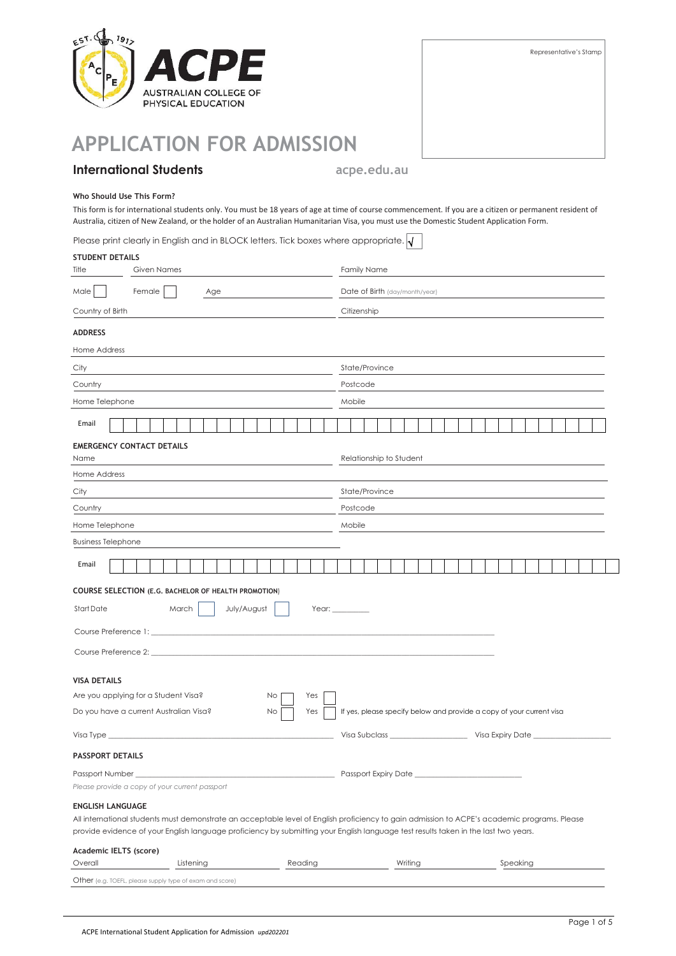

| Representative's Stamp |
|------------------------|
|                        |
|                        |
|                        |
|                        |
|                        |
|                        |
|                        |

# **APPLICATION FOR ADMISSION**

# **International Students acpe.edu.au**

### **Who Should Use This Form?**

This form is for international students only. You must be 18 years of age at time of course commencement. If you are a citizen or permanent resident of Australia, citizen of New Zealand, or the holder of an Australian Humanitarian Visa, you must use the Domestic Student Application Form.

| Please print clearly in English and in BLOCK letters. Tick boxes where appropriate. $\sqrt{}$ |  |
|-----------------------------------------------------------------------------------------------|--|
|-----------------------------------------------------------------------------------------------|--|

| <b>STUDENT DETAILS</b>                                                                                                                                         |                                                                                                                                              |           |  |             |    |         |     |                                                                      |                                |                         |         |  |  |  |  |  |          |  |  |  |  |  |
|----------------------------------------------------------------------------------------------------------------------------------------------------------------|----------------------------------------------------------------------------------------------------------------------------------------------|-----------|--|-------------|----|---------|-----|----------------------------------------------------------------------|--------------------------------|-------------------------|---------|--|--|--|--|--|----------|--|--|--|--|--|
| Title                                                                                                                                                          | <b>Given Names</b>                                                                                                                           |           |  |             |    |         |     | <b>Family Name</b>                                                   |                                |                         |         |  |  |  |  |  |          |  |  |  |  |  |
| Male                                                                                                                                                           | Female<br>Age                                                                                                                                |           |  |             |    |         |     |                                                                      | Date of Birth (day/month/year) |                         |         |  |  |  |  |  |          |  |  |  |  |  |
| Country of Birth                                                                                                                                               |                                                                                                                                              |           |  |             |    |         |     |                                                                      | Citizenship                    |                         |         |  |  |  |  |  |          |  |  |  |  |  |
| <b>ADDRESS</b>                                                                                                                                                 |                                                                                                                                              |           |  |             |    |         |     |                                                                      |                                |                         |         |  |  |  |  |  |          |  |  |  |  |  |
| Home Address                                                                                                                                                   |                                                                                                                                              |           |  |             |    |         |     |                                                                      |                                |                         |         |  |  |  |  |  |          |  |  |  |  |  |
| City                                                                                                                                                           |                                                                                                                                              |           |  |             |    |         |     |                                                                      | State/Province                 |                         |         |  |  |  |  |  |          |  |  |  |  |  |
| Country                                                                                                                                                        |                                                                                                                                              |           |  |             |    |         |     |                                                                      | Postcode                       |                         |         |  |  |  |  |  |          |  |  |  |  |  |
| Home Telephone                                                                                                                                                 |                                                                                                                                              |           |  |             |    |         |     |                                                                      | Mobile                         |                         |         |  |  |  |  |  |          |  |  |  |  |  |
| Email                                                                                                                                                          |                                                                                                                                              |           |  |             |    |         |     |                                                                      |                                |                         |         |  |  |  |  |  |          |  |  |  |  |  |
|                                                                                                                                                                | <b>EMERGENCY CONTACT DETAILS</b>                                                                                                             |           |  |             |    |         |     |                                                                      |                                |                         |         |  |  |  |  |  |          |  |  |  |  |  |
| Name                                                                                                                                                           |                                                                                                                                              |           |  |             |    |         |     |                                                                      |                                | Relationship to Student |         |  |  |  |  |  |          |  |  |  |  |  |
| Home Address                                                                                                                                                   |                                                                                                                                              |           |  |             |    |         |     |                                                                      |                                |                         |         |  |  |  |  |  |          |  |  |  |  |  |
| City                                                                                                                                                           |                                                                                                                                              |           |  |             |    |         |     |                                                                      | State/Province                 |                         |         |  |  |  |  |  |          |  |  |  |  |  |
| Country                                                                                                                                                        |                                                                                                                                              |           |  |             |    |         |     |                                                                      | Postcode                       |                         |         |  |  |  |  |  |          |  |  |  |  |  |
| Home Telephone                                                                                                                                                 |                                                                                                                                              |           |  |             |    |         |     |                                                                      | Mobile                         |                         |         |  |  |  |  |  |          |  |  |  |  |  |
| <b>Business Telephone</b>                                                                                                                                      |                                                                                                                                              |           |  |             |    |         |     |                                                                      |                                |                         |         |  |  |  |  |  |          |  |  |  |  |  |
| Email                                                                                                                                                          |                                                                                                                                              |           |  |             |    |         |     |                                                                      |                                |                         |         |  |  |  |  |  |          |  |  |  |  |  |
| <b>COURSE SELECTION (E.G. BACHELOR OF HEALTH PROMOTION)</b>                                                                                                    |                                                                                                                                              |           |  |             |    |         |     |                                                                      |                                |                         |         |  |  |  |  |  |          |  |  |  |  |  |
| Start Date                                                                                                                                                     | March                                                                                                                                        |           |  | July/August |    |         |     |                                                                      |                                |                         |         |  |  |  |  |  |          |  |  |  |  |  |
| Course Preference 1:                                                                                                                                           |                                                                                                                                              |           |  |             |    |         |     |                                                                      |                                |                         |         |  |  |  |  |  |          |  |  |  |  |  |
| Course Preference 2:                                                                                                                                           |                                                                                                                                              |           |  |             |    |         |     |                                                                      |                                |                         |         |  |  |  |  |  |          |  |  |  |  |  |
| <b>VISA DETAILS</b>                                                                                                                                            |                                                                                                                                              |           |  |             |    |         |     |                                                                      |                                |                         |         |  |  |  |  |  |          |  |  |  |  |  |
|                                                                                                                                                                | Are you applying for a Student Visa?                                                                                                         |           |  |             | No |         | Yes |                                                                      |                                |                         |         |  |  |  |  |  |          |  |  |  |  |  |
|                                                                                                                                                                | Do you have a current Australian Visa?                                                                                                       |           |  |             | No |         | Yes | If yes, please specify below and provide a copy of your current visa |                                |                         |         |  |  |  |  |  |          |  |  |  |  |  |
| Visa Type                                                                                                                                                      |                                                                                                                                              |           |  |             |    |         |     | Visa Subclass ___________________<br>Visa Expiry Date                |                                |                         |         |  |  |  |  |  |          |  |  |  |  |  |
| <b>PASSPORT DETAILS</b>                                                                                                                                        |                                                                                                                                              |           |  |             |    |         |     |                                                                      |                                |                         |         |  |  |  |  |  |          |  |  |  |  |  |
| Passport Number ________________<br>Please provide a copy of your current passport                                                                             |                                                                                                                                              |           |  |             |    |         |     |                                                                      |                                |                         |         |  |  |  |  |  |          |  |  |  |  |  |
| <b>ENGLISH LANGUAGE</b><br>provide evidence of your English language proficiency by submitting your English language test results taken in the last two years. | All international students must demonstrate an acceptable level of English proficiency to gain admission to ACPE's academic programs. Please |           |  |             |    |         |     |                                                                      |                                |                         |         |  |  |  |  |  |          |  |  |  |  |  |
| Academic IELTS (score)<br>Overall                                                                                                                              |                                                                                                                                              | Listening |  |             |    | Reading |     |                                                                      |                                |                         | Writing |  |  |  |  |  | Speaking |  |  |  |  |  |
| Other (e.g. TOEFL, please supply type of exam and score)                                                                                                       |                                                                                                                                              |           |  |             |    |         |     |                                                                      |                                |                         |         |  |  |  |  |  |          |  |  |  |  |  |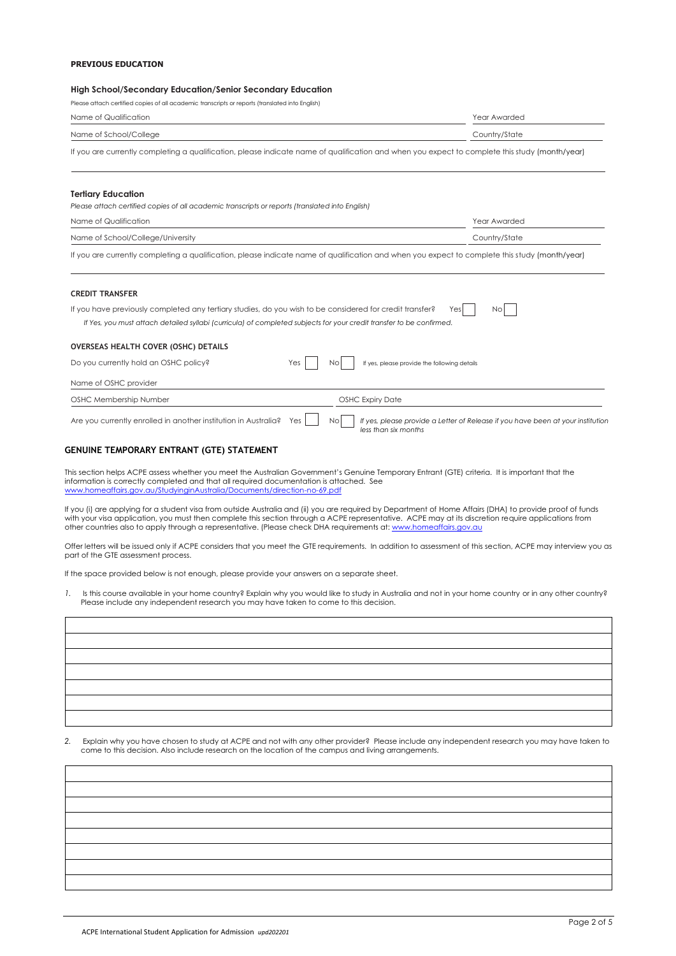### **PREVIOUS EDUCATION**

### **High School/Secondary Education/Senior Secondary Education**

Please attach certified copies of all academic transcripts or reports (translated into English)

| Name of Qualification                                                                                                                                                                                                                                                                                                 | Year Awarded                                                                                            |
|-----------------------------------------------------------------------------------------------------------------------------------------------------------------------------------------------------------------------------------------------------------------------------------------------------------------------|---------------------------------------------------------------------------------------------------------|
| Name of School/College                                                                                                                                                                                                                                                                                                | Country/State                                                                                           |
| If you are currently completing a qualification, please indicate name of qualification and when you expect to complete this study (month/year)                                                                                                                                                                        |                                                                                                         |
| <b>Tertiary Education</b>                                                                                                                                                                                                                                                                                             |                                                                                                         |
| Please attach certified copies of all academic transcripts or reports (translated into English)                                                                                                                                                                                                                       |                                                                                                         |
| Name of Qualification                                                                                                                                                                                                                                                                                                 | Year Awarded                                                                                            |
| Name of School/College/University                                                                                                                                                                                                                                                                                     | Country/State                                                                                           |
| If you are currently completing a qualification, please indicate name of qualification and when you expect to complete this study (month/year)                                                                                                                                                                        |                                                                                                         |
| <b>CREDIT TRANSFER</b>                                                                                                                                                                                                                                                                                                |                                                                                                         |
| If you have previously completed any tertiary studies, do you wish to be considered for credit transfer?<br>If Yes, you must attach detailed syllabi (curricula) of completed subjects for your credit transfer to be confirmed.                                                                                      | Yes<br>No                                                                                               |
| OVERSEAS HEALTH COVER (OSHC) DETAILS                                                                                                                                                                                                                                                                                  |                                                                                                         |
| Do you currently hold an OSHC policy?<br>Yes<br>No.                                                                                                                                                                                                                                                                   | If yes, please provide the following details                                                            |
| Name of OSHC provider                                                                                                                                                                                                                                                                                                 |                                                                                                         |
| OSHC Membership Number                                                                                                                                                                                                                                                                                                | <b>OSHC Expiry Date</b>                                                                                 |
| Are you currently enrolled in another institution in Australia?<br>Yes<br>Nol                                                                                                                                                                                                                                         | If yes, please provide a Letter of Release if you have been at your institution<br>less than six months |
| GENUINE TEMPORARY ENTRANT (GTE) STATEMENT                                                                                                                                                                                                                                                                             |                                                                                                         |
| This section helps ACPE assess whether you meet the Australian Government's Genuine Temporary Entrant (GTE) criteria. It is important that the<br>information is correctly completed and that all required documentation is attached. See<br>www.homeaffairs.gov.au/StudyinginAustralia/Documents/direction-no-69.pdf |                                                                                                         |

If you (i) are applying for a student visa from outside Australia and (ii) you are required by Department of Home Affairs (DHA) to provide proof of funds with your visa application, you must then complete this section through a ACPE representative. ACPE may at its discretion require applications from other countries also to apply through a representative. (Please check DHA requirements at[: www.homeaffairs.gov.au](http://www.homeaffairs.gov.au/)

Offer letters will be issued only if ACPE considers that you meet the GTE requirements. In addition to assessment of this section, ACPE may interview you as part of the GTE assessment process.

If the space provided below is not enough, please provide your answers on a separate sheet.

1. Is this course available in your home country? Explain why you would like to study in Australia and not in your home country or in any other country? Please include any independent research you may have taken to come to this decision.

*2.* Explain why you have chosen to study at ACPE and not with any other provider? Please include any independent research you may have taken to come to this decision. Also include research on the location of the campus and living arrangements.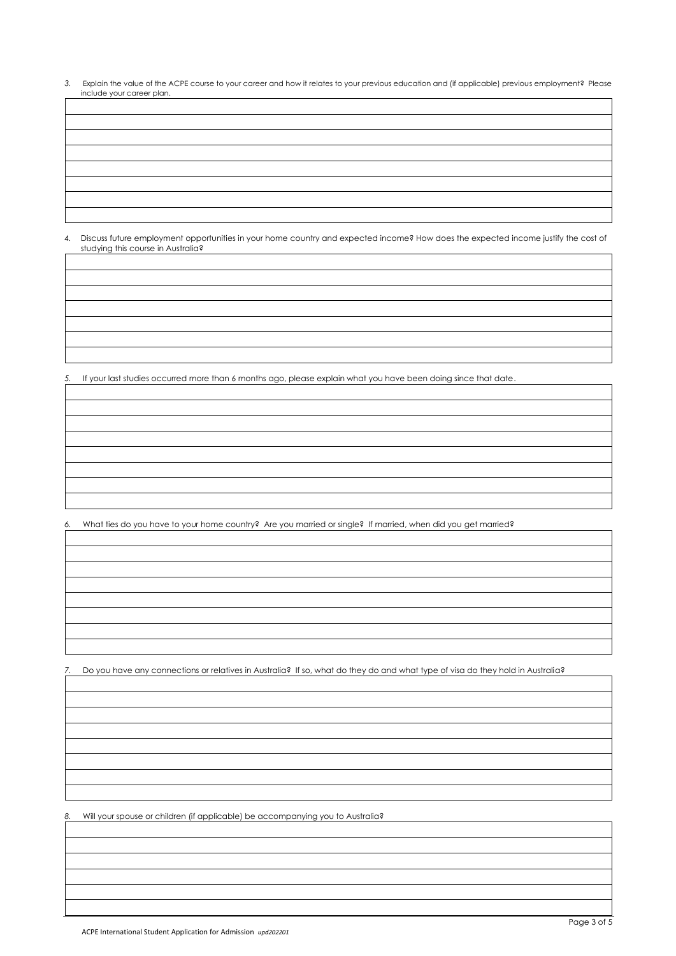*3.* Explain the value of the ACPE course to your career and how it relates to your previous education and (if applicable) previous employment? Please include your career plan.

*4.* Discuss future employment opportunities in your home country and expected income? How does the expected income justify the cost of studying this course in Australia?

*5.* If your last studies occurred more than 6 months ago, please explain what you have been doing since that date.

*6.* What ties do you have to your home country? Are you married or single? If married, when did you get married?

*7.* Do you have any connections or relatives in Australia? If so, what do they do and what type of visa do they hold in Australia?

*8.* Will your spouse or children (if applicable) be accompanying you to Australia?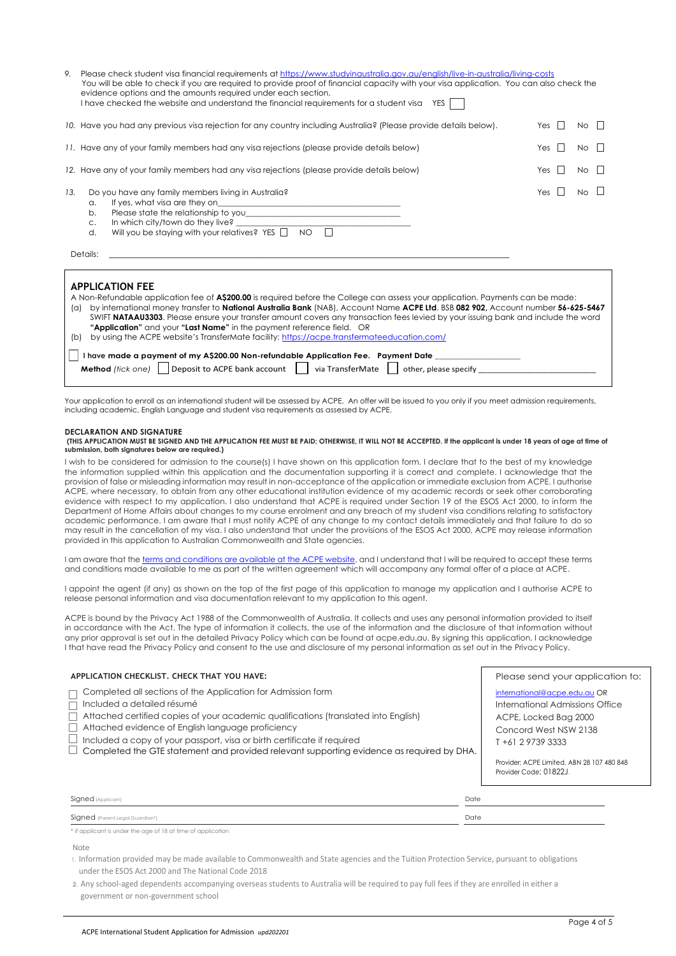| Please check student visa financial requirements at https://www.studyinaustralia.gov.au/english/live-in-australia/living-costs<br>9.<br>You will be able to check if you are required to provide proof of financial capacity with your visa application. You can also check the<br>evidence options and the amounts required under each section.<br>I have checked the website and understand the financial requirements for a student visa<br>YES |                                                                                                                                                                           |            |                   |  |  |  |
|----------------------------------------------------------------------------------------------------------------------------------------------------------------------------------------------------------------------------------------------------------------------------------------------------------------------------------------------------------------------------------------------------------------------------------------------------|---------------------------------------------------------------------------------------------------------------------------------------------------------------------------|------------|-------------------|--|--|--|
|                                                                                                                                                                                                                                                                                                                                                                                                                                                    | 10. Have you had any previous visa rejection for any country including Australia? (Please provide details below).                                                         | Yes $  $   | $N_O$ $\parallel$ |  |  |  |
| 11. Have any of your family members had any visa rejections (please provide details below)                                                                                                                                                                                                                                                                                                                                                         | Yes $  $                                                                                                                                                                  | $No$ $  $  |                   |  |  |  |
|                                                                                                                                                                                                                                                                                                                                                                                                                                                    | 12. Have any of your family members had any visa rejections (please provide details below)                                                                                | $Yes$ $  $ | No                |  |  |  |
| 13.                                                                                                                                                                                                                                                                                                                                                                                                                                                | Do you have any family members living in Australia?<br>a.<br>b.<br>In which city/town do they live?<br>C.<br>Will you be staying with your relatives? YES $\Box$ NO<br>d. | Yes $  $   | $No \Box$         |  |  |  |
|                                                                                                                                                                                                                                                                                                                                                                                                                                                    | Details:                                                                                                                                                                  |            |                   |  |  |  |
|                                                                                                                                                                                                                                                                                                                                                                                                                                                    | <b>APPLICATION FEE</b><br>A New Beforehold and its after the of ACOO OO is a mixed before the Oelless was accessed and the Bennesotte was been apple                      |            |                   |  |  |  |

| A Non-Refundable application fee of A\$200.00 is required before the College can assess your application. Payments can be made:         |
|-----------------------------------------------------------------------------------------------------------------------------------------|
| by international money transfer to National Australia Bank (NAB), Account Name ACPE Ltd. BSB 082 902, Account number 56-625-5467<br>(a) |
| SWIFT NATAAU3303. Please ensure your transfer amount covers any transaction fees levied by your issuing bank and include the word       |
| "Application" and your "Last Name" in the payment reference field. OR                                                                   |
| by using the ACPE website's TransferMate facility: https://acpe.transfermateeducation.com/<br>(b)                                       |
| I have made a payment of my A\$200.00 Non-refundable Application Fee. Payment Date                                                      |
| <b>Method</b> (fick one) <b>Deposit to ACPE bank account</b> via TransferMate of other, please specify                                  |
|                                                                                                                                         |

Your application to enroll as an international student will be assessed by ACPE. An offer will be issued to you only if you meet admission requirements, including academic, English Language and student visa requirements as assessed by ACPE.

#### **DECLARATION AND SIGNATURE**

**(THIS APPLICATION MUST BE SIGNED AND THE APPLICATION FEE MUST BE PAID; OTHERWISE, IT WILL NOT BE ACCEPTED. If the applicant is under 18 years of age at time of submission, both signatures below are required.)**

I wish to be considered for admission to the course(s) I have shown on this application form. I declare that to the best of my knowledge the information supplied within this application and the documentation supporting it is correct and complete. I acknowledge that the provision of false or misleading information may result in non-acceptance of the application or immediate exclusion from ACPE. I authorise ACPE, where necessary, to obtain from any other educational institution evidence of my academic records or seek other corroborating evidence with respect to my application. I also understand that ACPE is required under Section 19 of the ESOS Act 2000, to inform the Department of Home Affairs about changes to my course enrolment and any breach of my student visa conditions relating to satisfactory academic performance. I am aware that I must notify ACPE of any change to my contact details immediately and that failure to do so may result in the cancellation of my visa. I also understand that under the provisions of the ESOS Act 2000, ACPE may release information provided in this application to Australian Commonwealth and State agencies.

I am aware that th[e terms and conditions are available at the ACPE website,](https://acpe.edu.au/admissions/terms-conditions/) and I understand that I will be required to accept these terms and conditions made available to me as part of the written agreement which will accompany any formal offer of a place at ACPE.

I appoint the agent (if any) as shown on the top of the first page of this application to manage my application and I authorise ACPE to release personal information and visa documentation relevant to my application to this agent.

ACPE is bound by the Privacy Act 1988 of the Commonwealth of Australia. It collects and uses any personal information provided to itself in accordance with the Act. The type of information it collects, the use of the information and the disclosure of that information without any prior approval is set out in the detailed Privacy Policy which can be found at acpe.edu.au. By signing this application, I acknowledge I that have read the Privacy Policy and consent to the use and disclosure of my personal information as set out in the Privacy Policy.

## **APPLICATION CHECKLIST. CHECK THAT YOU HAVE:**

Completed all sections of the Application for Admission form

Included a detailed résumé

- Attached certified copies of your academic qualifications (translated into English)
- Attached evidence of English language proficiency
- $\Box$  Included a copy of your passport, visa or birth certificate if required
- $\Box$  Completed the GTE statement and provided relevant supporting evidence as required by DHA.

### Please send your application to:

international@acpe.edu.au OR International Admissions Office ACPE, Locked Bag 2000 Concord West NSW 2138 T +61 2 9739 3333

Provider: ACPE Limited. ABN 28 107 480 848 Provider Code: 01822J*.*

| Signed (Applicant)               | Date |
|----------------------------------|------|
| Signed (Parent, Legal Guardian*) | Date |
|                                  |      |

\* if applicant is under the age of 18 at time of application

#### Note

- 1. Information provided may be made available to Commonwealth and State agencies and the Tuition Protection Service, pursuant to obligations under the ESOS Act 2000 and The National Code 2018
- **2.** Any school-aged dependents accompanying overseas students to Australia will be required to pay full fees if they are enrolled in either a government or non-government school